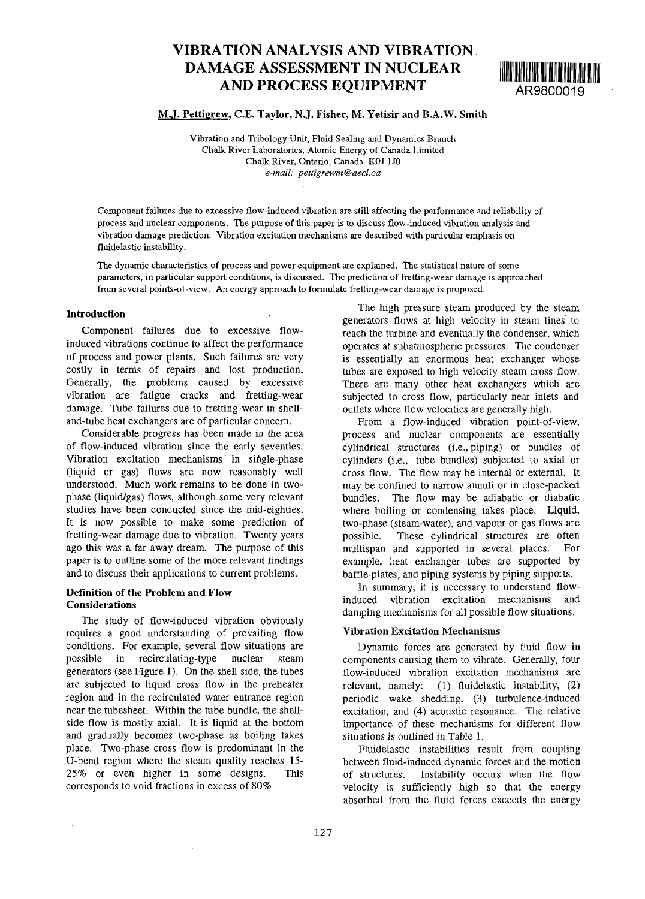# VIBRATION ANALYSIS AND VIBRATION DAMAGE ASSESSMENT IN NUCLEAR AND PROCESS EQUIPMENT



## **M..T. Pettigrew. C.E. Taylor, NJ. Fisher, M. Yetisir** and **B.A.W. Smith**

Vibration and Tribology Unit, Fluid Sealing and Dynamics Branch Chalk River Laboratories, Atomic Energy of Canada Limited Chalk River, Ontario, Canada KOJ 1 JO *e-mail: pettigrewni@aecl.ca*

Component failures due to excessive flow-induced vibration are still affecting the performance and reliability of process and nuclear components. The purpose of this paper is to discuss flow-induced vibration analysis and vibration damage prediction. Vibration excitation mechanisms are described with particular emphasis on fluidelastic instability.

The dynamic characteristics of process and power equipment are explained. The statistical nature of some parameters, in particular support conditions, is discussed. The prediction of fretting-wear damage is approached from several points-of-view. An energy approach to formulate fretting-wear damage is proposed.

#### **Introduction**

Component failures due to excessive flowinduced vibrations continue to affect the performance of process and power plants. Such failures are very costly in terms of repairs and lost production. Generally, the problems caused by excessive vibration are fatigue cracks and fretting-wear damage. Tube failures due to fretting-wear in shelland-tube heat exchangers are of particular concern.

Considerable progress has been made in the area of flow-induced vibration since the early seventies. Vibration excitation mechanisms in single-phase (liquid or gas) flows are now reasonably well understood. Much work remains to be done in twophase (liquid/gas) flows, although some very relevant studies have been conducted since the mid-eighties. It is now possible to make some prediction of fretting-wear damage due to vibration. Twenty years ago this was a far away dream. The purpose of this paper is to outline some of the more relevant findings and to discuss their applications to current problems.

## **Definition of the Problem and Flow Considerations**

The study of flow-induced vibration obviously requires a good understanding of prevailing flow conditions. For example, several flow situations are possible in recirculating-type nuclear steam generators (see Figure 1). On the shell side, the tubes are subjected to liquid cross flow in the preheater region and in the recirculated water entrance region near the tubesheet. Within the tube bundle, the shellside flow is mostly axial. It is liquid at the bottom and gradually becomes two-phase as boiling takes place. Two-phase cross flow is predominant in the U-bend region where the steam quality reaches 15- 25% or even higher in some designs. This corresponds to void fractions in excess of 80%.

The high pressure steam produced by the steam generators flows at high velocity in steam lines to reach the turbine and eventually the condenser, which operates at subatmospheric pressures. The condenser is essentially an enormous heat exchanger whose tubes are exposed to high velocity steam cross flow. There are many other heat exchangers which are subjected to cross flow, particularly near inlets and outlets where flow velocities are generally high.

From a flow-induced vibration point-of-view, process and nuclear components are essentially cylindrical structures (i.e., piping) or bundles of cylinders (i.e., tube bundles) subjected to axial or cross flow. The flow may be internal or external. It may be confined to narrow annuli or in close-packed bundles. The flow may be adiabatic or diabatic where boiling or condensing takes place. Liquid, two-phase (steam-water), and vapour or gas flows are possible. These cylindrical structures are often multispan and supported in several places. For example, heat exchanger tubes are supported by baffle-plates, and piping systems by piping supports.

In summary, it is necessary to understand flowinduced vibration excitation mechanisms and damping mechanisms for all possible flow situations.

### **Vibration Excitation Mechanisms**

Dynamic forces are generated by fluid flow in components causing them to vibrate. Generally, four flow-induced vibration excitation mechanisms are relevant, namely: (1) fluidelastic instability, (2) periodic wake shedding, (3) turbulence-induced excitation, and (4) acoustic resonance. The relative importance of these mechanisms for different flow situations *is* outlined in Table 1.

Fluidelastic instabilities result from coupling between fluid-induced dynamic forces and the motion of structures. Instability occurs when the flow velocity is sufficiently high so that the energy absorbed from the fluid forces exceeds the energy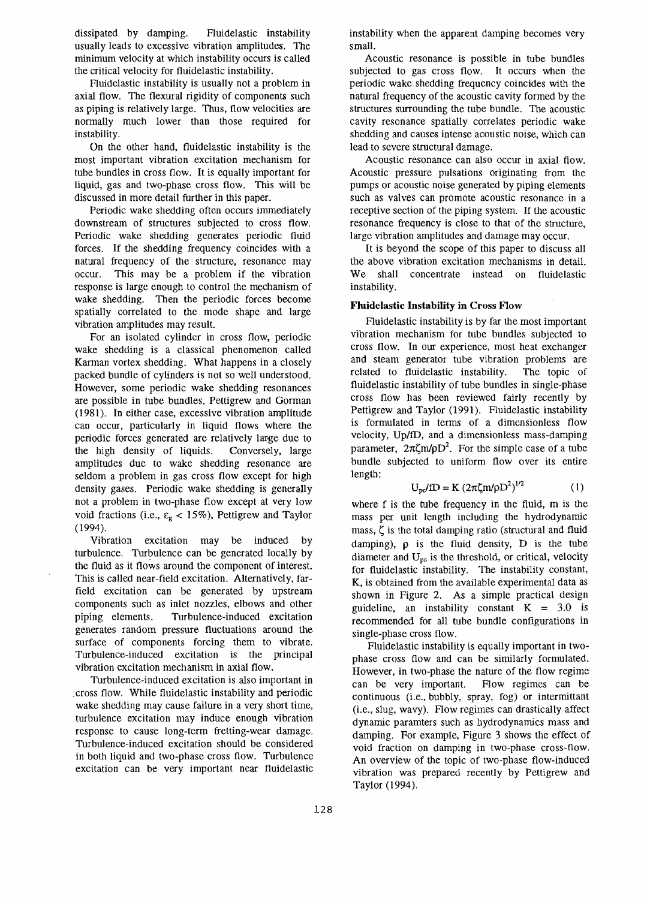dissipated by damping. Fluidelastic instability usually leads to excessive vibration amplitudes. The minimum velocity at which instability occurs is called the critical velocity for fluidelastic instability.

Huidelastic instability is usually not a problem in axial flow. The flexural rigidity of components such as piping is relatively large. Thus, flow velocities are normally much lower than those required for instability.

On the other hand, fluidelastic instability is the most important vibration excitation mechanism for tube bundles in cross flow. It is equally important for liquid, gas and two-phase cross flow. This will be discussed in more detail further in this paper.

Periodic wake shedding often occurs immediately downstream of structures subjected to cross flow. Periodic wake shedding generates periodic fluid forces. If the shedding frequency coincides with a natural frequency of the structure, resonance may occur. This may be a problem if the vibration response is large enough to control the mechanism of wake shedding. Then the periodic forces become spatially correlated to the mode shape and large vibration amplitudes may result.

For an isolated cylinder in cross flow, periodic wake shedding is a classical phenomenon called Karman vortex shedding. What happens in a closely packed bundle of cylinders is not so well understood. However, some periodic wake shedding resonances are possible in tube bundles, Pettigrew and Gorman (1981). In either case, excessive vibration amplitude can occur, particularly in liquid flows where the periodic forces generated are relatively large due to the high density of liquids. Conversely, large amplitudes due to wake shedding resonance are seldom a problem in gas cross flow except for high density gases. Periodic wake shedding is generally not a problem in two-phase flow except at very low void fractions (i.e.,  $\varepsilon_{\rm g}$  < 15%), Pettigrew and Taylor (1994).

Vibration excitation may be induced by turbulence. Turbulence can be generated locally by the fluid as it flows around the component of interest. This is called near-field excitation. Alternatively, farfield excitation can be generated by upstream components such as inlet nozzles, elbows and other piping elements. Turbulence-induced excitation generates random pressure fluctuations around the surface of components forcing them to vibrate. Turbulence-induced excitation is the principal vibration excitation mechanism in axial flow.

Turbulence-induced excitation is also important in .cross flow. While fluidelastic instability and periodic wake shedding may cause failure in a very short time, turbulence excitation may induce enough vibration response to cause long-term fretting-wear damage. Turbulence-induced excitation should be considered in both liquid and two-phase cross flow. Turbulence excitation can be very important near fluidelastic instability when the apparent damping becomes very small.

Acoustic resonance is possible in tube bundles subjected to gas cross flow. It occurs when the periodic wake shedding frequency coincides with the natural frequency of the acoustic cavity formed by the structures surrounding the tube bundle. The acoustic cavity resonance spatially correlates periodic wake shedding and causes intense acoustic noise, which can lead to severe structural damage.

Acoustic resonance can also occur in axial flow. Acoustic pressure pulsations originating from the pumps or acoustic noise generated by piping elements such as valves can promote acoustic resonance in a receptive section of the piping system. If the acoustic resonance frequency is close to that of the structure, large vibration amplitudes and damage may occur.

It is beyond the scope of this paper to discuss all the above vibration excitation mechanisms in detail. We shall concentrate instead on fluidelastic instability.

## Fluidelastic Instability in Cross Flow

Fluidelastic instability is by far the most important vibration mechanism for tube bundles subjected to cross flow. In our experience, most heat exchanger and steam generator tube vibration problems are related to fluidelastic instability. The topic of fluidelastic instability of tube bundles in single-phase cross flow has been reviewed fairly recently by Pettigrew and Taylor (1991). Fluidelastic instability is formulated in terms of a dimensionless flow velocity, Up/fD, and a dimensionless mass-damping parameter,  $2\pi\zeta m/\rho D^2$ . For the simple case of a tube bundle subjected to uniform flow over its entire length:

$$
U_{\rm pc} / fD = K (2\pi \zeta m / \rho D^2)^{1/2}
$$
 (1)

where f is the tube frequency in the fluid, m is the mass per unit length including the hydrodynamic mass,  $\zeta$  is the total damping ratio (structural and fluid damping),  $\rho$  is the fluid density,  $D$  is the tube diameter and  $U_{\text{pc}}$  is the threshold, or critical, velocity for fluidelastic instability. The instability constant, K, is obtained from the available experimental data as shown in Figure 2. As a simple practical design guideline, an instability constant  $K = 3.0$  is recommended for all tube bundle configurations in single-phase cross flow.

Fluidelastic instability is equally important in twophase cross flow and can be similarly formulated. However, in two-phase the nature of the flow regime can be very important. Flow regimes can be continuous (i.e., bubbly, spray, fog) or intermittant (i.e., slug, wavy). Flow regimes can drastically affect dynamic paramters such as hydrodynamics mass and damping. For example, Figure 3 shows the effect of void fraction on damping in two-phase cross-flow. An overview of the topic of two-phase flow-induced vibration was prepared recently by Pettigrew and Taylor (1994).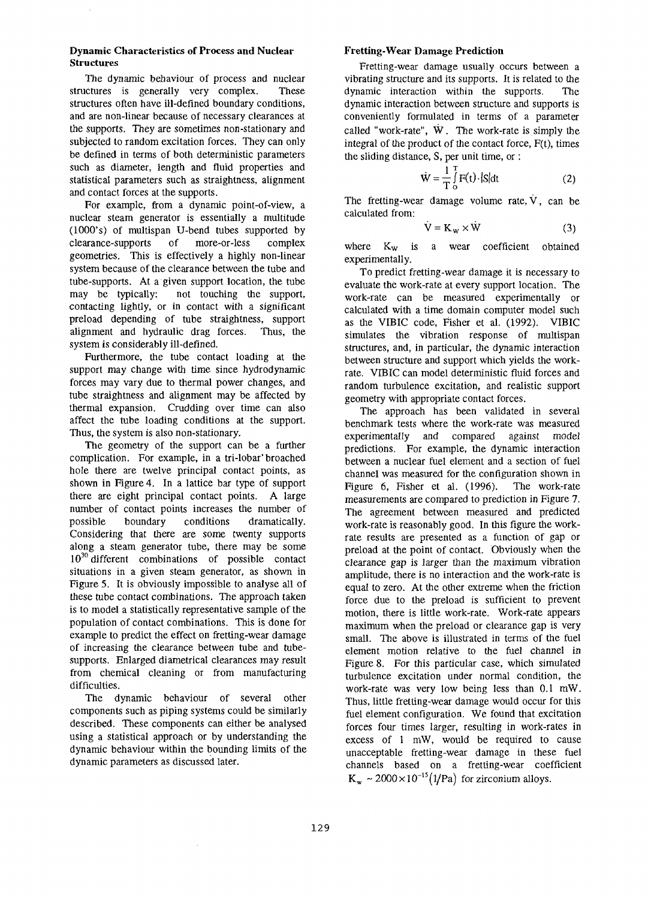## Dynamic Characteristics of Process and Nuclear Structures

The dynamic behaviour of process and nuclear structures is generally very complex. These structures often have ill-defined boundary conditions, and are non-linear because of necessary clearances at the supports. They are sometimes non-stationary and subjected to random excitation forces. They can only be defined in terms of both deterministic parameters such as diameter, length and fluid properties and statistical parameters such as straightness, alignment and contact forces at the supports.

For example, from a dynamic point-of-view, a nuclear steam generator is essentially a multitude (1000's) of multispan U-bend tubes supported by clearance-supports of more-or-less complex geometries. This is effectively a highly non-linear system because of the clearance between the tube and tube-supports. At a given support location, the tube may be typically: not touching the support, contacting lightly, or in contact with a significant preload depending of tube straightness, support alignment and hydraulic drag forces. Thus, the system is considerably ill-defined.

Furthermore, the tube contact loading at the support may change with time since hydrodynamic forces may vary due to thermal power changes, and tube straightness and alignment may be affected by thermal expansion. Crudding over time can also affect the tube loading conditions at the support. Thus, the system is also non-stationary.

The geometry of the support can be a further complication. For example, in a tri-lobar'broached hole there are twelve principal contact points, as shown in Figure 4. In a lattice bar type of support there are eight principal contact points. A large number of contact points increases the number of possible boundary conditions dramatically. Considering that there are some twenty supports along a steam generator tube, there may be some  $10^{30}$  different combinations of possible contact situations in a given steam generator, as shown in Figure 5. It is obviously impossible to analyse all of these tube contact combinations. The approach taken is to model a statistically representative sample of the population of contact combinations. This is done for example to predict the effect on fretting-wear damage of increasing the clearance between tube and tubesupports. Enlarged diametrical clearances may result from chemical cleaning or from manufacturing difficulties.

The dynamic behaviour of several other components such as piping systems could be similarly described. These components can either be analysed using a statistical approach or by understanding the dynamic behaviour within the bounding limits of the dynamic parameters as discussed later.

## Fretting-Wear Damage Prediction

Fretting-wear damage usually occurs between a vibrating structure and its supports. It is related to the dynamic interaction within the supports. The dynamic interaction within the supports. dynamic interaction between structure and supports is conveniently formulated in terms of a parameter called "work-rate", W. The work-rate is simply the integral of the product of the contact force, F(t), times the sliding distance, S, per unit time, or:

$$
\dot{W} = \frac{1}{T} \int_{0}^{T} F(t) \cdot |S| dt
$$
 (2)

The fretting-wear damage volume rate,  $\dot{V}$ , can be calculated from:

$$
\dot{\mathbf{V}} = \mathbf{K}_{\mathbf{w}} \times \dot{\mathbf{W}} \tag{3}
$$

where K<sub>w</sub> is a wear coefficient obtained experimentally.

To predict fretting-wear damage it is necessary to evaluate the work-rate at every support location. The work-rate can be measured experimentally or calculated with a time domain computer model such as the VIBIC code, Fisher et al. (1992). VIBIC simulates the vibration response of multispan structures, and, in particular, the dynamic interaction between structure and support which yields the workrate. VIBIC can model deterministic fluid forces and random turbulence excitation, and realistic support geometry with appropriate contact forces.

The approach has been validated in several benchmark tests where the work-rate was measured experimentally and compared against model predictions. For example, the dynamic interaction between a nuclear fuel element and a section of fuel channel was measured for the configuration shown in Figure 6, Fisher et al. (1996). The work-rate measurements are compared to prediction in Figure 7. The agreement between measured and predicted work-rate is reasonably good. In this figure the workrate results are presented as a function of gap or preload at the point of contact. Obviously when the clearance gap is larger than the maximum vibration amplitude, there is no interaction and the work-rate is equal to zero. At the other extreme when the friction force due to the preload is sufficient to prevent motion, there is little work-rate. Work-rate appears maximum when the preload or clearance gap is very small. The above is illustrated in terms of the fuel element motion relative to the fuel channel in Figure 8. For this particular case, which simulated turbulence excitation under normal condition, the work-rate was very low being less than 0.1 mW. Thus, little fretting-wear damage would occur for this fuel element configuration. We found that excitation forces four times larger, resulting in work-rates in excess of 1 mW, would be required to cause unacceptable fretting-wear damage in these fuel channels based on a fretting-wear coefficient  $K_w \sim 2000 \times 10^{-15} (1/Pa)$  for zirconium alloys.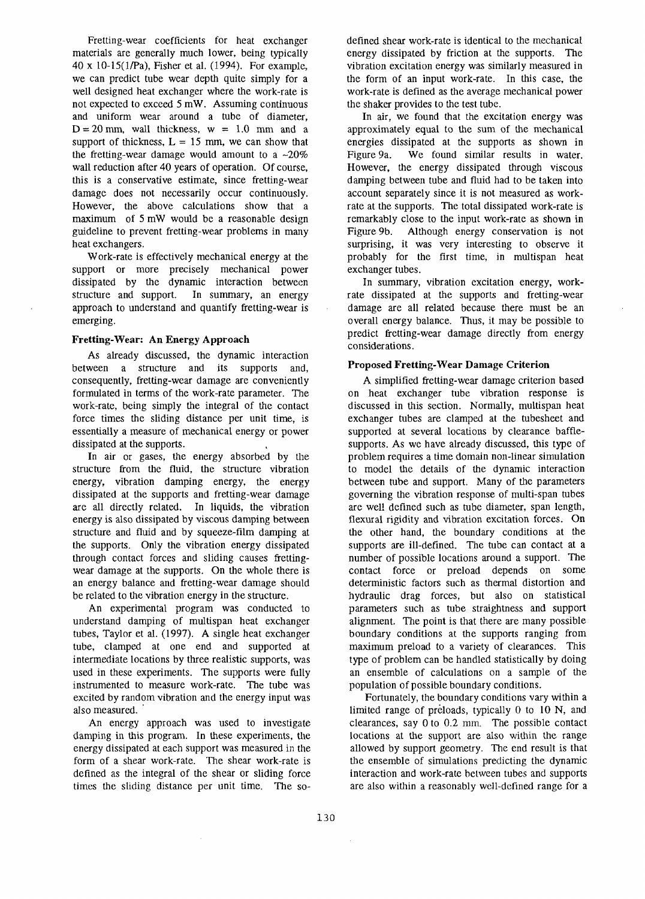Fretting-wear coefficients for heat exchanger materials are generally much lower, being typically 40 x 10-15(l/Pa), Fisher et al. (1994). For example, we can predict tube wear depth quite simply for a well designed heat exchanger where the work-rate is not expected to exceed 5 mW. Assuming continuous and uniform wear around a tube of diameter,  $D = 20$  mm, wall thickness,  $w = 1.0$  mm and a support of thickness,  $L = 15$  mm, we can show that the fretting-wear damage would amount to a  $~20\%$ wall reduction after 40 years of operation. Of course, this is a conservative estimate, since fretting-wear damage does not necessarily occur continuously. However, the above calculations show that a maximum of 5 mW would be a reasonable design guideline to prevent fretting-wear problems in many heat exchangers.

Work-rate is effectively mechanical energy at the support or more precisely mechanical power dissipated by the dynamic interaction between structure and support. In summary, an energy approach to understand and quantify fretting-wear is emerging.

## **Fretting-Wear: An Energy Approach**

As already discussed, the dynamic interaction between a structure and its supports and, consequently, fretting-wear damage are conveniently formulated in terms of the work-rate parameter. The work-rate, being simply the integral of the contact force times the sliding distance per unit time, is essentially a measure of mechanical energy or power dissipated at the supports.

In air or gases, the energy absorbed by the structure from the fluid, the structure vibration energy, vibration damping energy, the energy dissipated at the supports and fretting-wear damage are all directly related. In liquids, the vibration energy is also dissipated by viscous damping between structure and fluid and by squeeze-film damping at the supports. Only the vibration energy dissipated through contact forces and sliding causes frettingwear damage at the supports. On the whole there is an energy balance and fretting-wear damage should be related to the vibration energy in the structure.

An experimental program was conducted to understand damping of multispan heat exchanger tubes, Taylor et al. (1997). A single heat exchanger tube, clamped at one end and supported at intermediate locations by three realistic supports, was used in these experiments. The supports were fully instrumented to measure work-rate. The tube was excited by random vibration and the energy input was also measured.

An energy approach was used to investigate damping in this program. In these experiments, the energy dissipated at each support was measured in the form of a shear work-rate. The shear work-rate is defined as the integral of the shear or sliding force times the sliding distance per unit time. The sodefined shear work-rate is identical to the mechanical energy dissipated by friction at the supports. The vibration excitation energy was similarly measured in the form of an input work-rate. In this case, the work-rate is defined as the average mechanical power the shaker provides to the test tube.

In air, we found that the excitation energy was approximately equal to the sum of the mechanical energies dissipated at the supports as shown in Figure 9a. We found similar results in water. However, the energy dissipated through viscous damping between tube and fluid had to be taken into account separately since it is not measured as workrate at the supports. The total dissipated work-rate is remarkably close to the input work-rate as shown in Figure 9b. Although energy conservation is not surprising, it was very interesting to observe it probably for the first time, in multispan heat exchanger tubes.

In summary, vibration excitation energy, workrate dissipated at the supports and fretting-wear damage are all related because there must be an overall energy balance. Thus, it may be possible to predict fretting-wear damage directly from energy considerations.

## **Proposed Fretting-Wear Damage Criterion**

A simplified fretting-wear damage criterion based on heat exchanger tube vibration response is discussed in this section. Normally, multispan heat exchanger tubes are clamped at the tubesheet and supported at several locations by clearance bafflesupports. As we have already discussed, this type of problem requires a time domain non-linear simulation to model the details of the dynamic interaction between tube and support. Many of the parameters governing the vibration response of multi-span tubes are well defined such as tube diameter, span length, flexural rigidity and vibration excitation forces. On the other hand, the boundary conditions at the supports are ill-defined. The tube can contact at a number of possible locations around a support. The contact force or preload depends on some deterministic factors such as thermal distortion and hydraulic drag forces, but also on statistical parameters such as tube straightness and support alignment. The point is that there are many possible boundary conditions at the supports ranging from maximum preload to a variety of clearances. This type of problem can be handled statistically by doing an ensemble of calculations on a sample of the population of possible boundary conditions.

Fortunately, the boundary conditions vary within a limited range of preloads, typically  $0$  to  $10 \text{ N}$ , and clearances, say 0 to 0.2 mm. The possible contact locations at the support are also within the range allowed by support geometry. The end result is that the ensemble of simulations predicting the dynamic interaction and work-rate between tubes and supports are also within a reasonably well-defined range for a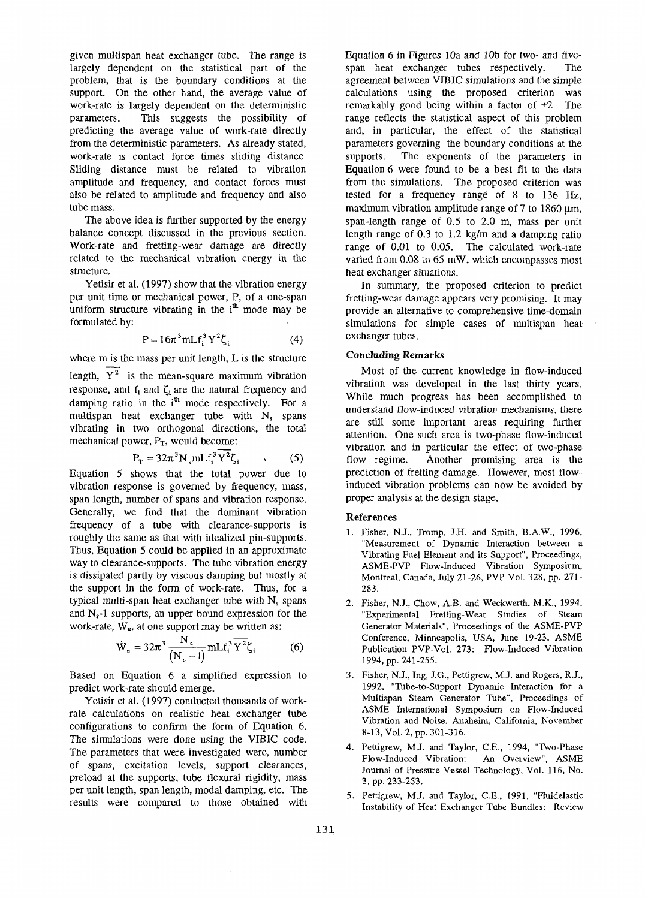given multispan heat exchanger tube. The range is largely dependent on the statistical part of the problem, that is the boundary conditions at the support. On the other hand, the average value of work-rate is largely dependent on the deterministic parameters. This suggests the possibility of predicting the average value of work-rate directly from the deterministic parameters. As already stated, work-rate is contact force times sliding distance. Sliding distance must be related to vibration amplitude and frequency, and contact forces must also be related to amplitude and frequency and also tube mass.

The above idea is further supported by the energy balance concept discussed in the previous section. Work-rate and fretting-wear damage are directly related to the mechanical vibration energy in the structure.

Yetisir et al. (1997) show that the vibration energy per unit time or mechanical power, P, of a one-span uniform structure vibrating in the  $i<sup>th</sup>$  mode may be formulated by:

$$
P = 16\pi^3 mL f_i^3 \overline{Y^2} \zeta_i \tag{4}
$$

where m is the mass per unit length, L is the structure length,  $Y^2$  is the mean-square maximum vibration response, and  $f_i$  and  $\zeta_i$  are the natural frequency and damping ratio in the  $i<sup>th</sup>$  mode respectively. For a multispan heat exchanger tube with  $N_s$  spans vibrating in two orthogonal directions, the total mechanical power,  $P_T$ , would become:

$$
P_T = 32\pi^3 N_s m L f_i^3 Y^2 \zeta_i \qquad (5)
$$

Equation 5 shows that the total power due to vibration response is governed by frequency, mass, span length, number of spans and vibration response. Generally, we find that the dominant vibration frequency of a tube with clearance-supports is roughly the same as that with idealized pin-supports. Thus, Equation 5 could be applied in an approximate way to clearance-supports. The tube vibration energy is dissipated partly by viscous damping but mostly at the support in the form of work-rate. Thus, for a typical multi-span heat exchanger tube with  $N_s$  spans and  $N_s$ -1 supports, an upper bound expression for the work-rate,  $W_u$ , at one support may be written as:

$$
\dot{W}_{u} = 32\pi^{3} \frac{N_{s}}{(N_{s}-1)} mL f_{i}^{3} \overline{Y^{2}} \zeta_{i}
$$
 (6)

Based on Equation 6 a simplified expression to predict work-rate should emerge.

Yetisir et al. (1997) conducted thousands of workrate calculations on realistic heat exchanger tube configurations to confirm the form of Equation 6. The simulations were done using the VIBIC code. The parameters that were investigated were, number of spans, excitation levels, support clearances, preload at the supports, tube flexural rigidity, mass per unit length, span length, modal damping, etc. The results were compared to those obtained with

Equation 6 in Figures 10a and 10b for two- and fivespan heat exchanger tubes respectively. The agreement between VIBIC simulations and the simple calculations using the proposed criterion was remarkably good being within a factor of  $\pm 2$ . The range reflects the statistical aspect of this problem and, in particular, the effect of the statistical parameters governing the boundary conditions at the supports. The exponents of the parameters in Equation 6 were found to be a best fit to the data from the simulations. The proposed criterion was tested for a frequency range of 8 to 136 Hz, maximum vibration amplitude range of  $7$  to 1860  $\mu$ m, span-length range of 0.5 to 2.0 m, mass per unit length range of 0.3 to 1.2 kg/m and a damping ratio range of 0.01 to 0.05. The calculated work-rate varied from 0.08 to 65 mW, which encompasses most heat exchanger situations.

In summary, the proposed criterion to predict fretting-wear damage appears very promising. It may provide an alternative to comprehensive time-domain simulations for simple cases of multispan heat exchanger tubes.

## Concluding Remarks

Most of the current knowledge in flow-induced vibration was developed in the last thirty years. While much progress has been accomplished to understand flow-induced vibration mechanisms, there are still some important areas requiring further attention. One such area is two-phase flow-induced vibration and in particular the effect of two-phase flow regime. Another promising area is the prediction of fretting-damage. However, most flowinduced vibration problems can now be avoided by proper analysis at the design stage.

### References

- 1. Fisher, N.J., Tromp, J.H. and Smith, B.A.W., 1996, "Measurement of Dynamic Interaction between a Vibrating Fuel Element and its Support", Proceedings, ASME-PVP Flow-Induced Vibration Symposium, Montreal, Canada, July 21-26, PVP-Vol. 328, pp. 271- 283.
- 2. Fisher, N.J., Chow, A.B. and Weckwerth, M.K., 1994, "Experimental Fretting-Wear Studies of Steam Generator Materials", Proceedings of the ASME-PVP Conference, Minneapolis, USA, June 19-23, ASME Publication PVP-Vol. 273: Flow-Induced Vibration 1994, pp. 241-255.
- 3. Fisher, N.J., Ing, J.G., Pettigrew, M.J. and Rogers, R.J., 1992, "Tube-to-Support Dynamic Interaction for a Multispan Steam Generator Tube", Proceedings of ASME International Symposium on Flow-Induced Vibration and Noise, Anaheim, California, November 8-13, Vol. 2, pp. 301-316.
- 4. Pettigrew, M.J. and Taylor, C.E., 1994, "Two-Phase Flow-Induced Vibration: An Overview", ASME Journal of Pressure Vessel Technology, Vol. 116, No. 3, pp. 233-253.
- 5. Pettigrew, MJ. and Taylor, C.E., 1991, "Fluideiastic Instability of Heat Exchanger Tube Bundles: Review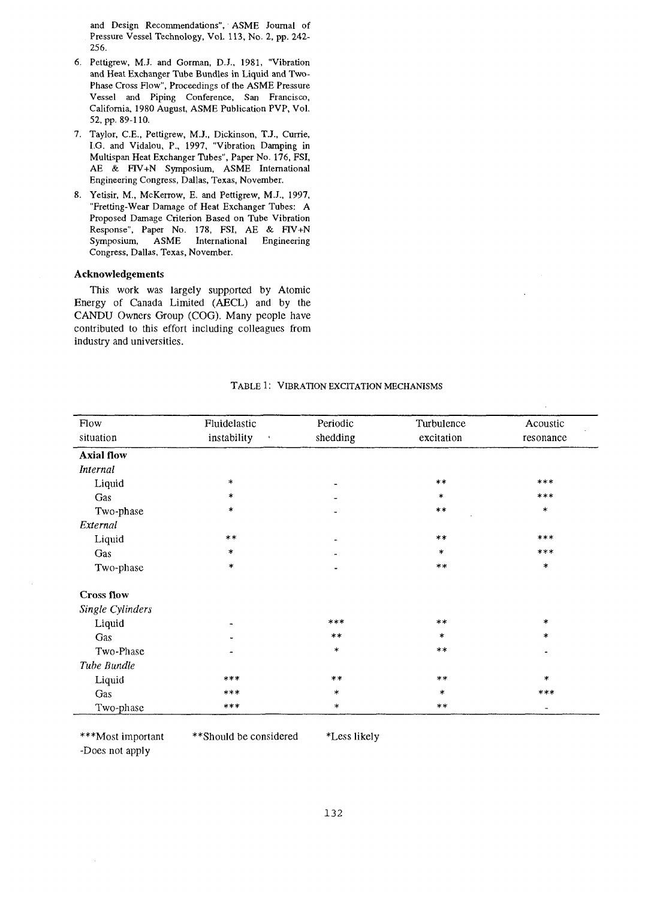and Design Recommendations", ASME Journal of Pressure Vessel Technology, Vol. 113, No. 2, pp. 242- 256.

- 6. Pettigrew, MJ. and Gorman, D.J., 1981, "Vibration and Heat Exchanger Tube Bundles in Liquid and Two-Phase Cross Flow", Proceedings of the ASME Pressure Vessel and Piping Conference, San Francisco, California, 1980 August, ASME Publication PVP, Vol. 52, pp. 89-110.
- 7. Taylor, C.E., Pettigrew, M.J., Dickinson, T.J., Currie, I.G. and Vidalou, P., 1997, "Vibration Damping in Multispan Heat Exchanger Tubes", Paper No. 176, FSI, AE & FIV+N Symposium, ASME International Engineering Congress, Dallas, Texas, November.
- 8. Yetisir, M., McKerrow, E. and Pettigrew, M.J., 1997, "Fretting-Wear Damage of Heat Exchanger Tubes: A Proposed Damage Criterion Based on Tube Vibration Response", Paper No. 178, FSI, AE & FIV+N<br>Symposium, ASME International Engineering Symposium, ASME International Engineering Congress, Dallas, Texas, November.

## Acknowledgements

This work was largely supported by Atomic Energy of Canada Limited (AECL) and by the CANDU Owners Group (COG). Many people have contributed to this effort including colleagues from industry and universities.

| Flow              | Fluidelastic             | Periodic                 | Turbulence   | Acoustic                 |
|-------------------|--------------------------|--------------------------|--------------|--------------------------|
| situation         | instability<br>$\bullet$ | shedding                 | excitation   | resonance                |
| <b>Axial flow</b> |                          |                          |              |                          |
| Internal          |                          |                          |              |                          |
| Liquid            | *                        | $\overline{\phantom{a}}$ | $***$        | ***                      |
| Gas               | $\ast$                   |                          | *            | $***$                    |
| Two-phase         | $\ast$                   |                          | $***$        | $\ast$                   |
| External          |                          |                          |              |                          |
| Liquid            | $**$                     | $\blacksquare$           | $***$        | ***                      |
| Gas               | $\ast$                   |                          | $\ast$       | $***$                    |
| Two-phase         | $\ast$                   |                          | $\ast\ast$   | $\ast$                   |
| <b>Cross flow</b> |                          |                          |              |                          |
| Single Cylinders  |                          |                          |              |                          |
| Liquid            | -                        | ***                      | $***$        | $\ast$                   |
| Gas               |                          | $\ast\ast$               | $\ast$       | $\ast$                   |
| Two-Phase         | $\overline{\phantom{0}}$ | $\ast$                   | $***$        |                          |
| Tube Bundle       |                          |                          |              |                          |
| Liquid            | $***$                    | $**$                     | $\ast\ast$   | $\ast$                   |
| Gas               | $***$                    | $\ast$                   | $\ast$       | $***$                    |
| Two-phase         | $***$                    | $\ast$                   | $\star\star$ | $\overline{\phantom{a}}$ |

# TABLE 1: VIBRATION EXCITATION MECHANISMS

\*\*\*Most important \*\*\*Should be considered \*Less likely

-Does not apply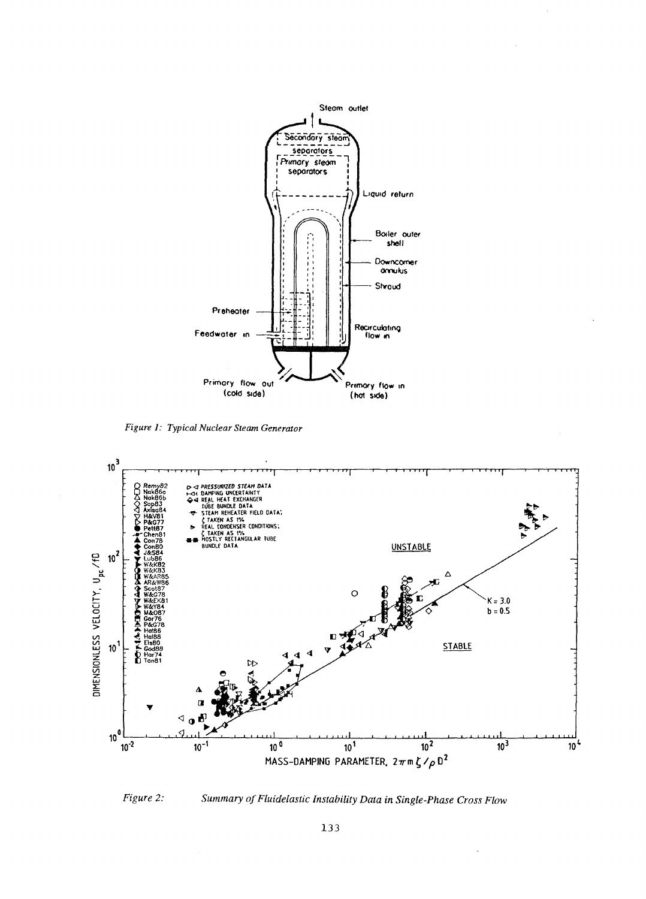

*Figure 1: Typical Nuclear Steam Generator*



*Figure 2: Summary of Fluidelastic Instability Data in Single-Phase Cross Flow*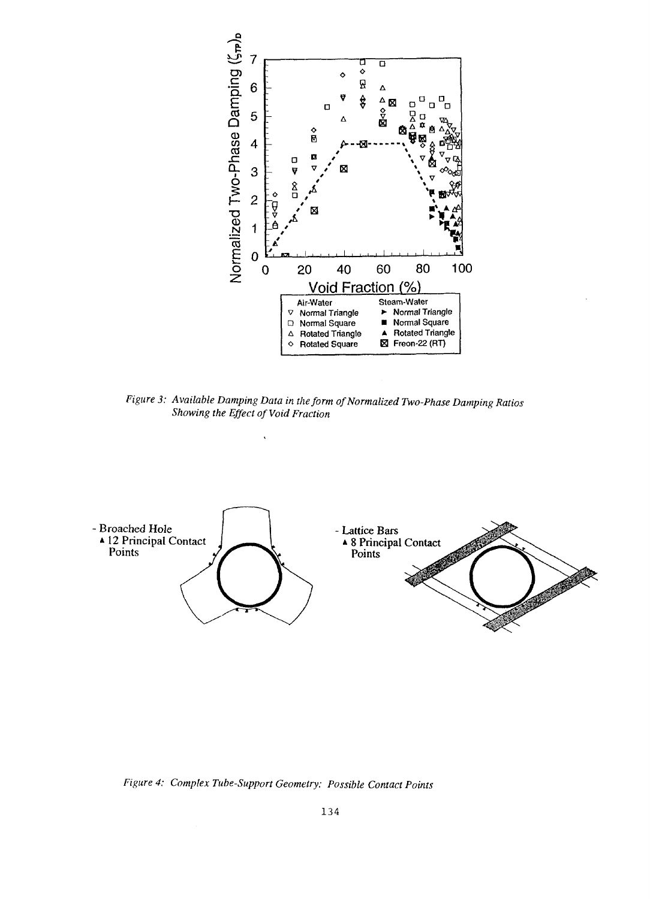

*Figure 3: Available Damping Data in the form of Normalized Two-Phase Damping Ratios Showing the Effect of Void Fraction*



*Figure 4: Complex Tube-Support Geometry: Possible Contact Points*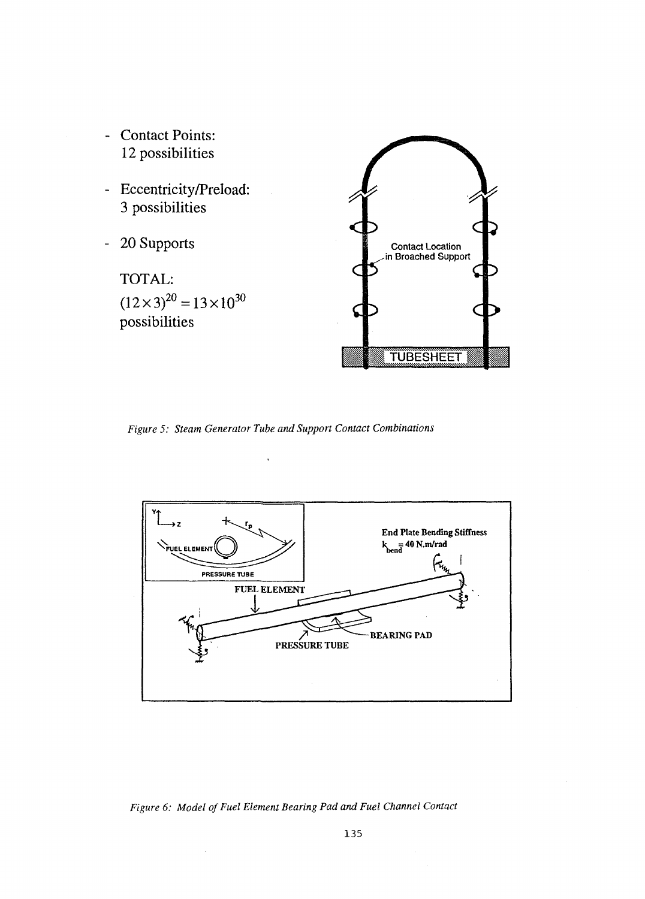- Contact Points: 12 possibilities
- Eccentricity/Preload: 3 possibilities
- 20 Supports

TOTAL:  $(12 \times 3)^{20} = 13 \times 10^{30}$ possibilities



*Figure 5: Steam Generator Tube and Support Contact Combinations*



*Figure 6: Model of Fuel Element Bearing Pad and Fuel Channel Contact*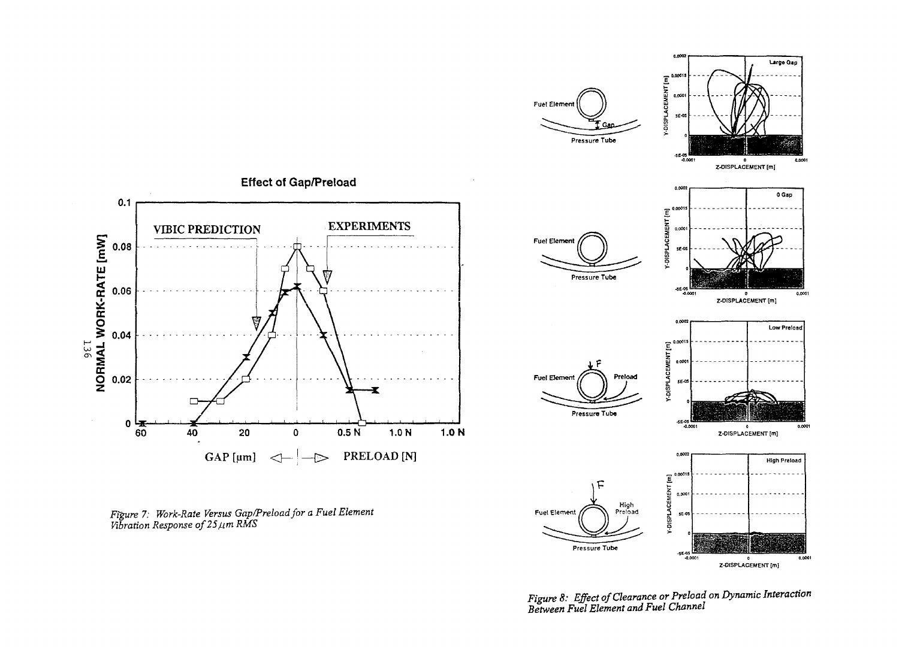

*Figure 8: Effect of Clearance or Preload on Dynamic Interaction Between Fuel Element and Fuel Channel*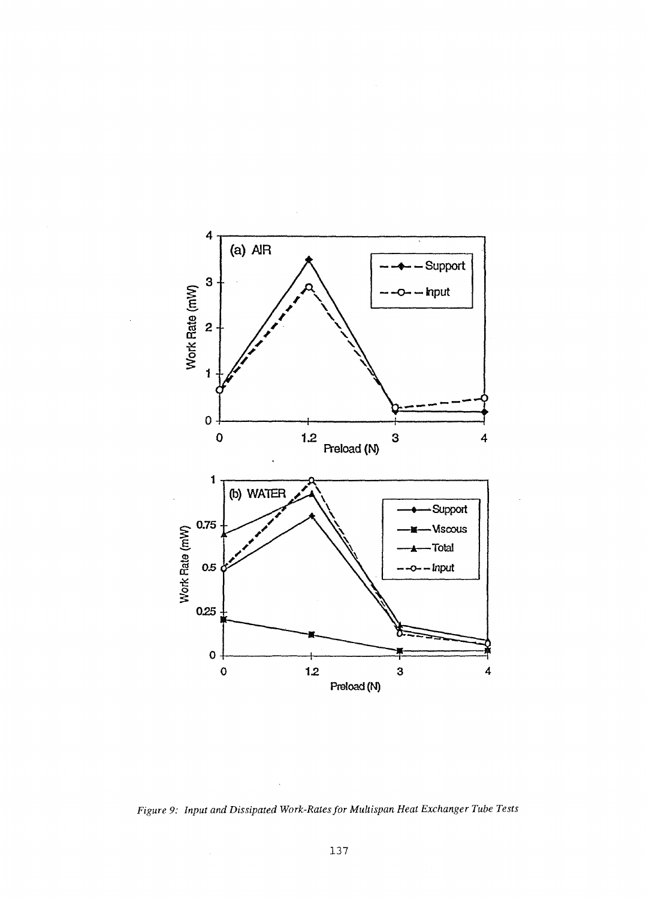

*Figure 9: Input and Dissipated Work-Rates for Multispan Heat Exchanger Tube Tests*